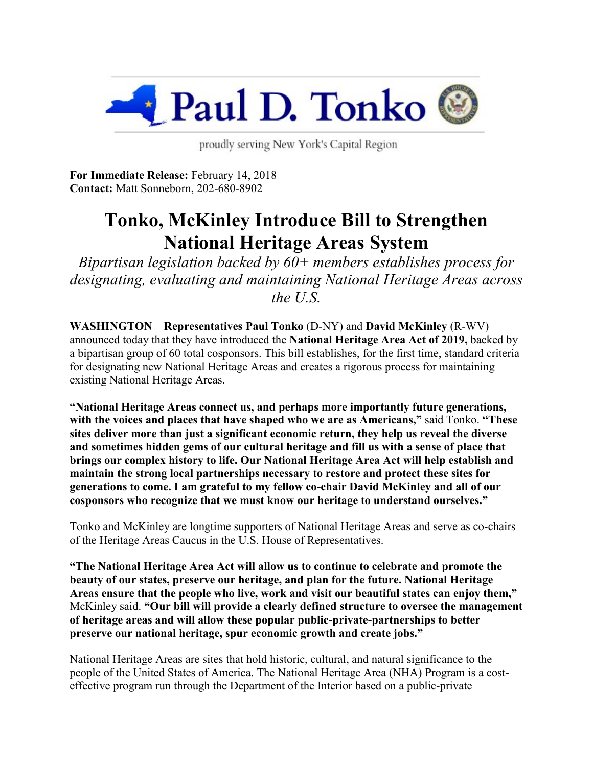

proudly serving New York's Capital Region

**For Immediate Release:** February 14, 2018 **Contact:** Matt Sonneborn, 202-680-8902

## **Tonko, McKinley Introduce Bill to Strengthen National Heritage Areas System**

*Bipartisan legislation backed by 60+ members establishes process for designating, evaluating and maintaining National Heritage Areas across the U.S.*

**WASHINGTON** – **Representatives Paul Tonko** (D-NY) and **David McKinley** (R-WV) announced today that they have introduced the **National Heritage Area Act of 2019,** backed by a bipartisan group of 60 total cosponsors. This bill establishes, for the first time, standard criteria for designating new National Heritage Areas and creates a rigorous process for maintaining existing National Heritage Areas.

**"National Heritage Areas connect us, and perhaps more importantly future generations, with the voices and places that have shaped who we are as Americans,"** said Tonko. **"These sites deliver more than just a significant economic return, they help us reveal the diverse and sometimes hidden gems of our cultural heritage and fill us with a sense of place that brings our complex history to life. Our National Heritage Area Act will help establish and maintain the strong local partnerships necessary to restore and protect these sites for generations to come. I am grateful to my fellow co-chair David McKinley and all of our cosponsors who recognize that we must know our heritage to understand ourselves."**

Tonko and McKinley are longtime supporters of National Heritage Areas and serve as co-chairs of the Heritage Areas Caucus in the U.S. House of Representatives.

**"The National Heritage Area Act will allow us to continue to celebrate and promote the beauty of our states, preserve our heritage, and plan for the future. National Heritage Areas ensure that the people who live, work and visit our beautiful states can enjoy them,"** McKinley said. **"Our bill will provide a clearly defined structure to oversee the management of heritage areas and will allow these popular public-private-partnerships to better preserve our national heritage, spur economic growth and create jobs."**

National Heritage Areas are sites that hold historic, cultural, and natural significance to the people of the United States of America. The National Heritage Area (NHA) Program is a costeffective program run through the Department of the Interior based on a public-private